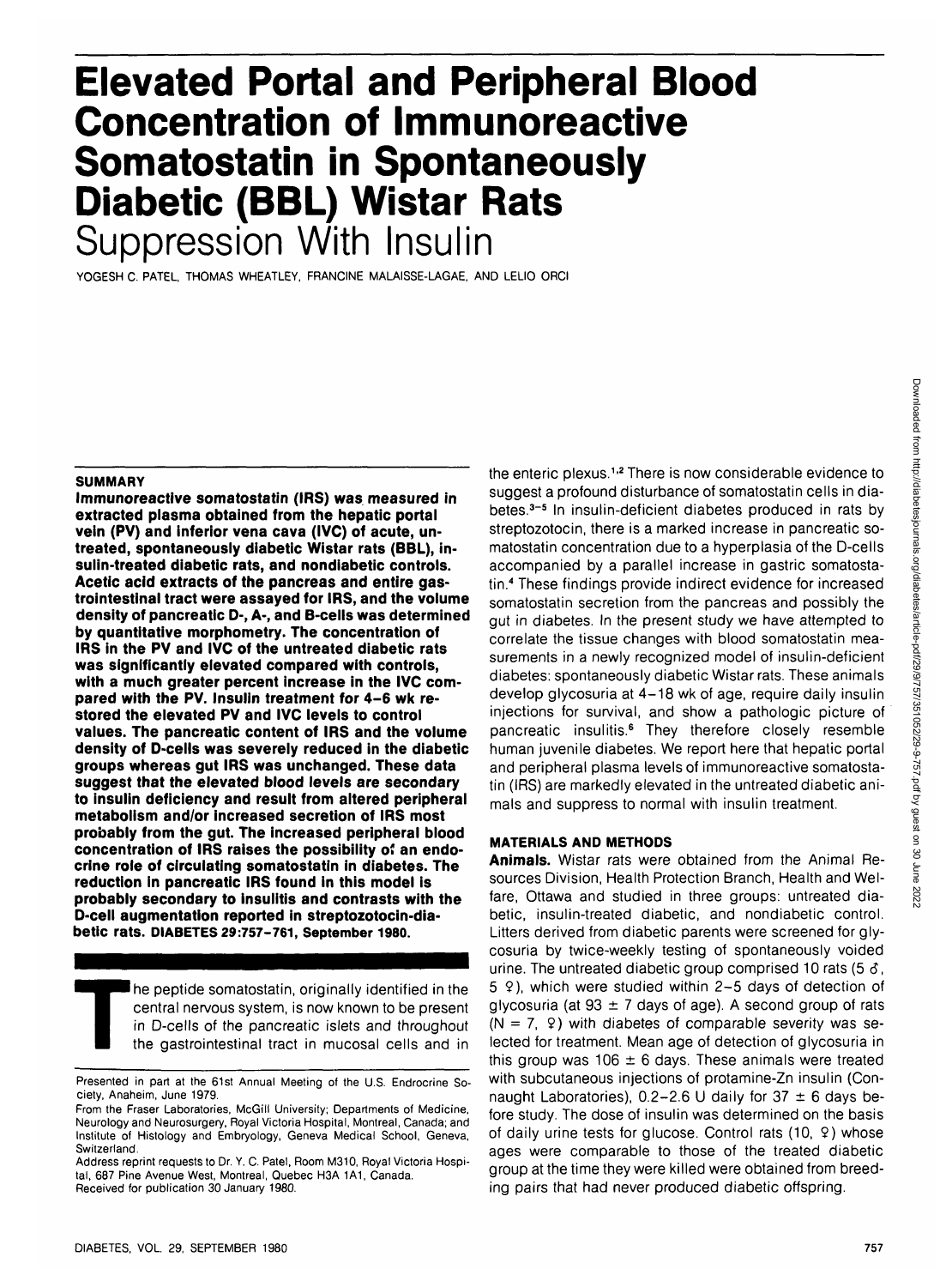# **Elevated Portal and Peripheral Blood Concentration of Immunoreactive Somatostatin in Spontaneously Diabetic (BBL) Wistar Rats Suppression With Insulin**

YOGESH C. PATEL, THOMAS WHEATLEY, FRANCINE MALAISSE-LAGAE, AND LELIO ORCI

#### **SUMMARY**

**••• •**

**Immunoreactive somatostatin (IRS) was measured in extracted plasma obtained from the hepatic portal vein (PV) and inferior vena cava (IVC) of acute, untreated, spontaneously diabetic Wistar rats (BBL), insulin-treated diabetic rats, and nondiabetic controls. Acetic acid extracts of the pancreas and entire gastrointestinal tract were assayed for IRS, and the volume density of pancreatic D-, A-, and B-cells was determined by quantitative morphometry. The concentration of IRS in the PV and IVC of the untreated diabetic rats was significantly elevated compared with controls, with a much greater percent increase in the IVC compared with the PV. Insulin treatment for 4-6 wk restored the elevated PV and IVC levels to control values. The pancreatic content of IRS and the volume density of D-cells was severely reduced in the diabetic groups whereas gut IRS was unchanged. These data suggest that the elevated blood levels are secondary to insulin deficiency and result from altered peripheral metabolism and/or increased secretion of IRS most probably from the gut. The increased peripheral blood concentration of IRS raises the possibility of an endocrine role of circulating somatostatin in diabetes. The reduction in pancreatic IRS found in this model is probably secondary to insulitis and contrasts with the D-cell augmentation reported in streptozotocin-diabetic rats. DIABETES 29:757-761, September 1980.**

The peptide somatostatin, originally identified in the central nervous system, is now known to be present in D-cells of the pancreatic islets and throughout the gastrointestinal tract in mucosal cells and in central nervous system, is now known to be present in D-cells of the pancreatic islets and throughout the gastrointestinal tract in mucosal cells and in

betes.<sup>3-5</sup> In insulin-deficient diabetes produced in rats by streptozotocin, there is a marked increase in pancreatic somatostatin concentration due to a hyperplasia of the D-cells accompanied by a parallel increase in gastric somatostatin.<sup>4</sup> These findings provide indirect evidence for increased somatostatin secretion from the pancreas and possibly the gut in diabetes. In the present study we have attempted to correlate the tissue changes with blood somatostatin measurements in a newly recognized model of insulin-deficient diabetes: spontaneously diabetic Wistar rats. These animals develop glycosuria at 4-18 wk of age, require daily insulin injections for survival, and show a pathologic picture of pancreatic insulitis.<sup>6</sup> They therefore closely resemble human juvenile diabetes. We report here that hepatic portal and peripheral plasma levels of immunoreactive somatostatin (IRS) are markedly elevated in the untreated diabetic animals and suppress to normal with insulin treatment.

the enteric plexus.<sup>1,2</sup> There is now considerable evidence to suggest a profound disturbance of somatostatin cells in dia-

# **MATERIALS AND METHODS**

**Animals.** Wistar rats were obtained from the Animal Resources Division, Health Protection Branch, Health and Welfare, Ottawa and studied in three groups: untreated diabetic, insulin-treated diabetic, and nondiabetic control. Litters derived from diabetic parents were screened for glycosuria by twice-weekly testing of spontaneously voided urine. The untreated diabetic group comprised 10 rats (5  $\delta$ ,  $5$   $9$ ), which were studied within 2-5 days of detection of glycosuria (at 93  $\pm$  7 days of age). A second group of rats  $(N = 7, 9)$  with diabetes of comparable severity was selected for treatment. Mean age of detection of glycosuria in this group was 106  $\pm$  6 days. These animals were treated with subcutaneous injections of protamine-Zn insulin (Connaught Laboratories),  $0.2-2.6$  U daily for 37  $\pm$  6 days before study. The dose of insulin was determined on the basis of daily urine tests for glucose. Control rats (10, 9) whose ages were comparable to those of the treated diabetic group at the time they were killed were obtained from breeding pairs that had never produced diabetic offspring.

Presented in part at the 61st Annual Meeting of the U.S. Endrocrine Society, Anaheim, June 1979.

From the Fraser Laboratories, McGill University; Departments of Medicine, Neurology and Neurosurgery, Royal Victoria Hospital, Montreal, Canada; and Institute of Histology and Embryology, Geneva Medical School, Geneva, Switzerland.

Address reprint requests to Dr. Y. C. Patel, Room M310, Royal Victoria Hospital, 687 Pine Avenue West, Montreal, Quebec H3A 1A1, Canada. Received for publication 30 January 1980.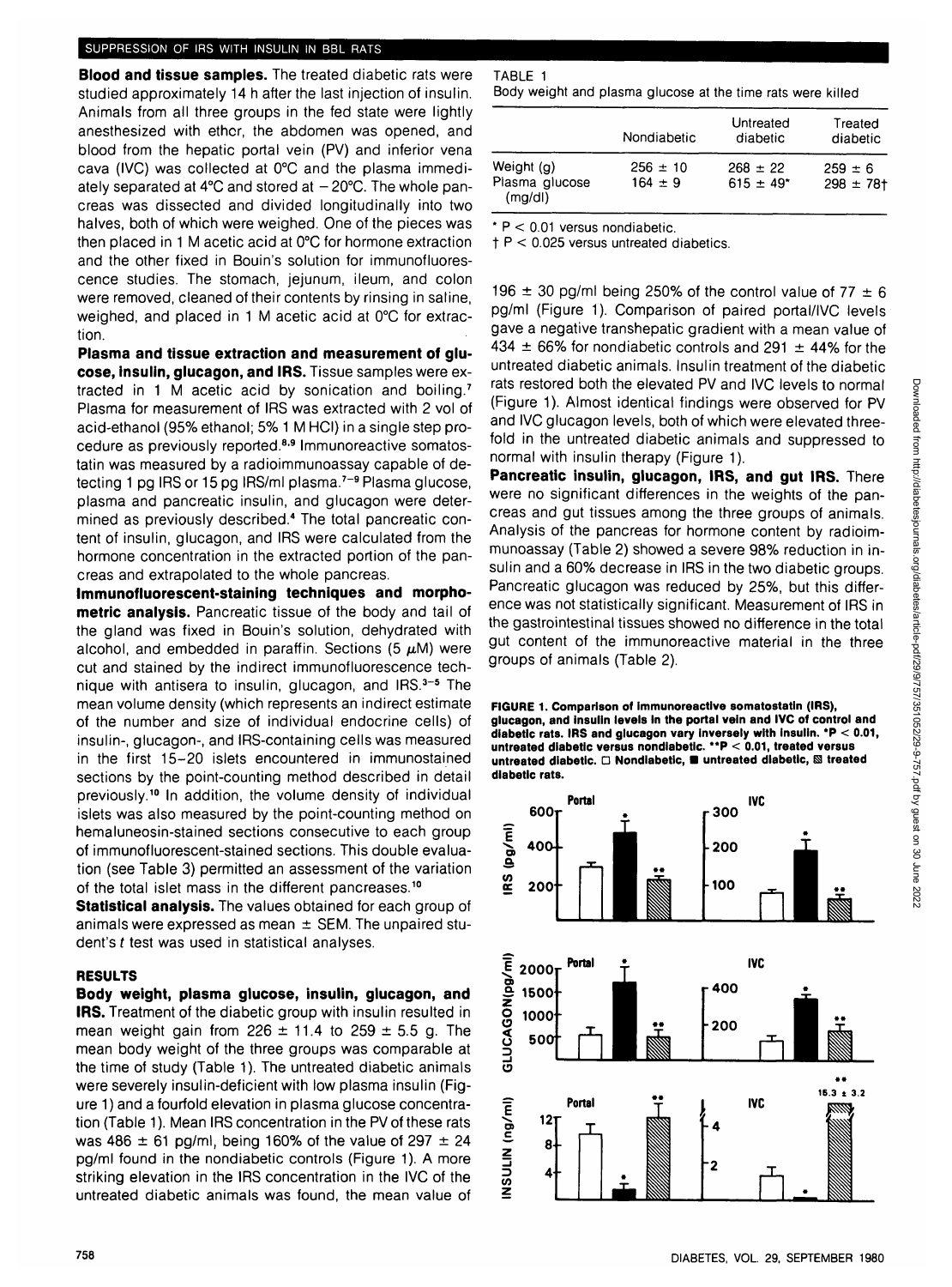## SUPPRESSION OF IRS WITH INSULIN IN BBL RATS

**Blood and tissue samples.** The treated diabetic rats were studied approximately 14 h after the last injection of insulin. Animals from all three groups in the fed state were lightly anesthesized with ether, the abdomen was opened, and blood from the hepatic portal vein (PV) and inferior vena cava (IVC) was collected at 0°C and the plasma immediately separated at  $4^{\circ}$ C and stored at  $-20^{\circ}$ C. The whole pancreas was dissected and divided longitudinally into two halves, both of which were weighed. One of the pieces was then placed in 1 M acetic acid at 0°C for hormone extraction and the other fixed in Bouin's solution for immunofluorescence studies. The stomach, jejunum, ileum, and colon were removed, cleaned of their contents by rinsing in saline, weighed, and placed in 1 M acetic acid at 0°C for extraction.

**Plasma and tissue extraction and measurement of glucose, insulin, glucagon, and IRS.** Tissue samples were extracted in 1 M acetic acid by sonication and boiling.<sup>7</sup> Plasma for measurement of IRS was extracted with 2 vol of acid-ethanol (95% ethanol; 5% 1 M HCI) in a single step procedure as previously reported.<sup>8,9</sup> Immunoreactive somatostatin was measured by a radioimmunoassay capable of detecting 1 pg IRS or 15 pg IRS/ml plasma.<sup>7-9</sup> Plasma glucose, plasma and pancreatic insulin, and glucagon were determined as previously described.<sup>4</sup> The total pancreatic content of insulin, glucagon, and IRS were calculated from the hormone concentration in the extracted portion of the pancreas and extrapolated to the whole pancreas.

**Immunofluorescent-staining techniques and morphometric analysis.** Pancreatic tissue of the body and tail of the gland was fixed in Bouin's solution, dehydrated with alcohol, and embedded in paraffin. Sections (5  $\mu$ M) were cut and stained by the indirect immunofluorescence technique with antisera to insulin, glucagon, and IRS.<sup>3-5</sup> The mean volume density (which represents an indirect estimate of the number and size of individual endocrine cells) of insulin-, glucagon-, and IRS-containing cells was measured in the first 15-20 islets encountered in immunostained sections by the point-counting method described in detail previously.<sup>10</sup> In addition, the volume density of individual islets was also measured by the point-counting method on hemaluneosin-stained sections consecutive to each group of immunofluorescent-stained sections. This double evaluation (see Table 3) permitted an assessment of the variation of the total islet mass in the different pancreases.<sup>10</sup>

**Statistical analysis.** The values obtained for each group of animals were expressed as mean  $\pm$  SEM. The unpaired student's t test was used in statistical analyses.

### **RESULTS**

**Body weight, plasma glucose, insulin, glucagon, and IRS.** Treatment of the diabetic group with insulin resulted in mean weight gain from 226  $\pm$  11.4 to 259  $\pm$  5.5 g. The mean body weight of the three groups was comparable at the time of study (Table 1). The untreated diabetic animals were severely insulin-deficient with low plasma insulin (Figure 1) and a fourfold elevation in plasma glucose concentration (Table 1). Mean IRS concentration in the PV of these rats was 486  $\pm$  61 pg/ml, being 160% of the value of 297  $\pm$  24 pg/ml found in the nondiabetic controls (Figure 1). A more striking elevation in the IRS concentration in the IVC of the untreated diabetic animals was found, the mean value of

| TABLE 1                                                     |  |  |  |  |  |
|-------------------------------------------------------------|--|--|--|--|--|
| Body weight and plasma glucose at the time rats were killed |  |  |  |  |  |

|                                        | Nondiabetic                 | Untreated<br>diabetic          | Treated<br>diabetic           |  |
|----------------------------------------|-----------------------------|--------------------------------|-------------------------------|--|
| Weight (g)<br>Plasma glucose<br>(mq/d) | $256 \pm 10$<br>$164 \pm 9$ | $268 \pm 22$<br>$615 \pm 49$ * | $259 \pm 6$<br>$298 \pm 78$ t |  |

 $*$  P < 0.01 versus nondiabetic.

**t** P < 0.025 versus untreated diabetics.

196  $\pm$  30 pg/ml being 250% of the control value of 77  $\pm$  6 pg/ml (Figure 1). Comparison of paired portal/IVC levels gave a negative transhepatic gradient with a mean value of 434  $\pm$  66% for nondiabetic controls and 291  $\pm$  44% for the untreated diabetic animals. Insulin treatment of the diabetic rats restored both the elevated PV and IVC levels to normal (Figure 1). Almost identical findings were observed for PV and IVC glucagon levels, both of which were elevated threefold in the untreated diabetic animals and suppressed to normal with insulin therapy (Figure 1).

**Pancreatic insulin, glucagon, IRS, and gut IRS.** There were no significant differences in the weights of the pancreas and gut tissues among the three groups of animals. Analysis of the pancreas for hormone content by radioimmunoassay (Table 2) showed a severe 98% reduction in insulin and a 60% decrease in IRS in the two diabetic groups. Pancreatic glucagon was reduced by 25%, but this difference was not statistically significant. Measurement of IRS in the gastrointestinal tissues showed no difference in the total gut content of the immunoreactive material in the three groups of animals (Table 2).

#### **FIGURE 1. Comparison of immunoreactive somatostatin (IRS), glucagon, and insulin levels In the portal vein and IVC of control and diabetic rats. IRS and glucagon vary inversely with Insulin. \*P < 0.01, untreated diabetic versus nondiabetic. \*\*P < 0.01, treated versus** untreated diabetic. **D** Nondiabetic, **a** untreated diabetic, **& treated diabetic rats.**

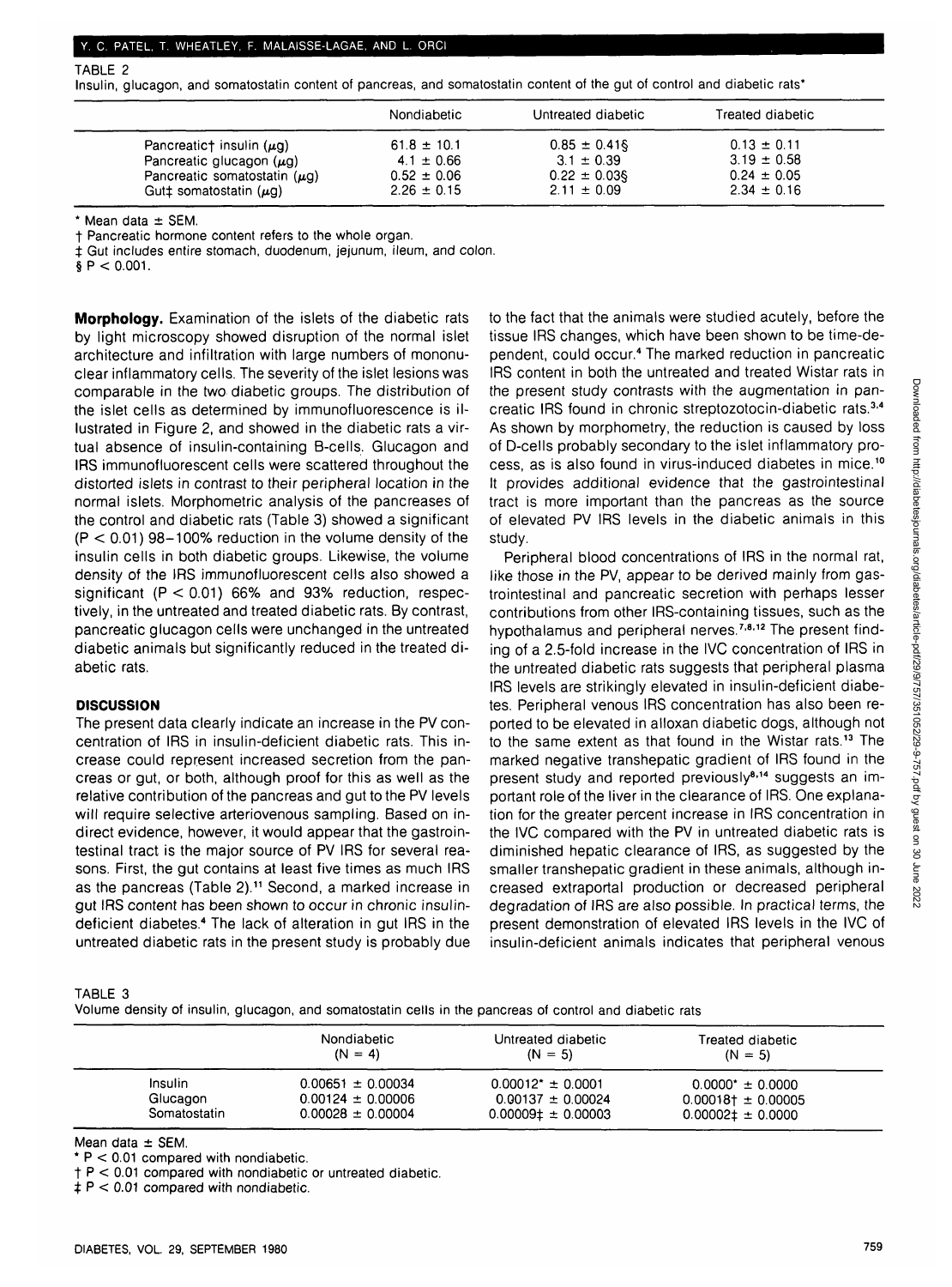TABLE 2

Insulin, glucagon, and somatostatin content of pancreas, and somatostatin content of the gut of control and diabetic rats\*

|                                   | Nondiabetic     | Untreated diabetic | Treated diabetic |  |
|-----------------------------------|-----------------|--------------------|------------------|--|
| Pancreatict insulin $(\mu q)$     | $61.8 \pm 10.1$ | $0.85 \pm 0.41$ §  | $0.13 \pm 0.11$  |  |
| Pancreatic glucagon $(\mu g)$     | $4.1 \pm 0.66$  | $3.1 \pm 0.39$     | $3.19 \pm 0.58$  |  |
| Pancreatic somatostatin $(\mu g)$ | $0.52 \pm 0.06$ | $0.22 \pm 0.03$    | $0.24 \pm 0.05$  |  |
| Gutt somatostatin $(\mu q)$       | $2.26 \pm 0.15$ | $2.11 \pm 0.09$    | $2.34 \pm 0.16$  |  |

 $*$  Mean data  $\pm$  SEM.

t Pancreatic hormone content refers to the whole organ.

 $±$  Gut includes entire stomach, duodenum, jejunum, ileum, and colon.

 $$P < 0.001$ .

**Morphology.** Examination of the islets of the diabetic rats by light microscopy showed disruption of the normal islet architecture and infiltration with large numbers of mononuclear inflammatory cells. The severity of the islet lesions was comparable in the two diabetic groups. The distribution of the islet cells as determined by immunofluorescence is illustrated in Figure 2, and showed in the diabetic rats a virtual absence of insulin-containing B-cells. Glucagon and IRS immunofluorescent cells were scattered throughout the distorted islets in contrast to their peripheral location in the normal islets. Morphometric analysis of the pancreases of the control and diabetic rats (Table 3) showed a significant  $(P < 0.01)$  98-100% reduction in the volume density of the insulin cells in both diabetic groups. Likewise, the volume density of the IRS immunofluorescent cells also showed a significant  $(P < 0.01)$  66% and 93% reduction, respectively, in the untreated and treated diabetic rats. By contrast, pancreatic glucagon cells were unchanged in the untreated diabetic animals but significantly reduced in the treated diabetic rats.

## **DISCUSSION**

The present data clearly indicate an increase in the PV concentration of IRS in insulin-deficient diabetic rats. This increase could represent increased secretion from the pancreas or gut, or both, although proof for this as well as the relative contribution of the pancreas and gut to the PV levels will require selective arteriovenous sampling. Based on indirect evidence, however, it would appear that the gastrointestinal tract is the major source of PV IRS for several reasons. First, the gut contains at least five times as much IRS as the pancreas (Table 2).<sup>11</sup> Second, a marked increase in gut IRS content has been shown to occur in chronic insulindeficient diabetes.<sup>4</sup> The lack of alteration in gut IRS in the untreated diabetic rats in the present study is probably due to the fact that the animals were studied acutely, before the tissue IRS changes, which have been shown to be time-dependent, could occur.<sup>4</sup> The marked reduction in pancreatic IRS content in both the untreated and treated Wistar rats in the present study contrasts with the augmentation in pancreatic IRS found in chronic streptozotocin-diabetic rats.<sup>3,4</sup> As shown by morphometry, the reduction is caused by loss of D-cells probably secondary to the islet inflammatory process, as is also found in virus-induced diabetes in mice.<sup>10</sup> It provides additional evidence that the gastrointestinal tract is more important than the pancreas as the source of elevated PV IRS levels in the diabetic animals in this study.

Peripheral blood concentrations of IRS in the normal rat, like those in the PV, appear to be derived mainly from gastrointestinal and pancreatic secretion with perhaps lesser contributions from other IRS-containing tissues, such as the hypothalamus and peripheral nerves.<sup>7,8,12</sup> The present finding of a 2.5-fold increase in the IVC concentration of IRS in the untreated diabetic rats suggests that peripheral plasma IRS levels are strikingly elevated in insulin-deficient diabetes. Peripheral venous IRS concentration has also been reported to be elevated in alloxan diabetic dogs, although not to the same extent as that found in the Wistar rats.<sup>13</sup> The marked negative transhepatic gradient of IRS found in the present study and reported previously<sup>8,14</sup> suggests an important role of the liver in the clearance of IRS. One explanation for the greater percent increase in IRS concentration in the IVC compared with the PV in untreated diabetic rats is diminished hepatic clearance of IRS, as suggested by the smaller transhepatic gradient in these animals, although increased extraportal production or decreased peripheral degradation of IRS are also possible. In practical terms, the present demonstration of elevated IRS levels in the IVC of insulin-deficient animals indicates that peripheral venous

TABLE 3

Volume density of insulin, glucagon, and somatostatin cells in the pancreas of control and diabetic rats

|              | Nondiabetic<br>$(N = 4)$ | Untreated diabetic<br>$(N = 5)$ | Treated diabetic<br>$(N = 5)$ |
|--------------|--------------------------|---------------------------------|-------------------------------|
| Insulin      | $0.00651 \pm 0.00034$    | $0.00012$ * ± 0.0001            | $0.0000^* \pm 0.0000$         |
| Glucagon     | $0.00124 \pm 0.00006$    | $0.00137 \pm 0.00024$           | $0.00018\dagger \pm 0.00005$  |
| Somatostatin | $0.00028 \pm 0.00004$    | $0.00009 \pm 0.00003$           | $0.00002 \pm 0.0000$          |

Mean data ± SEM.

 $*$  P  $<$  0.01 compared with nondiabetic.

 $t + P < 0.01$  compared with nondiabetic or untreated diabetic.

 $\ddagger$  P < 0.01 compared with nondiabetic.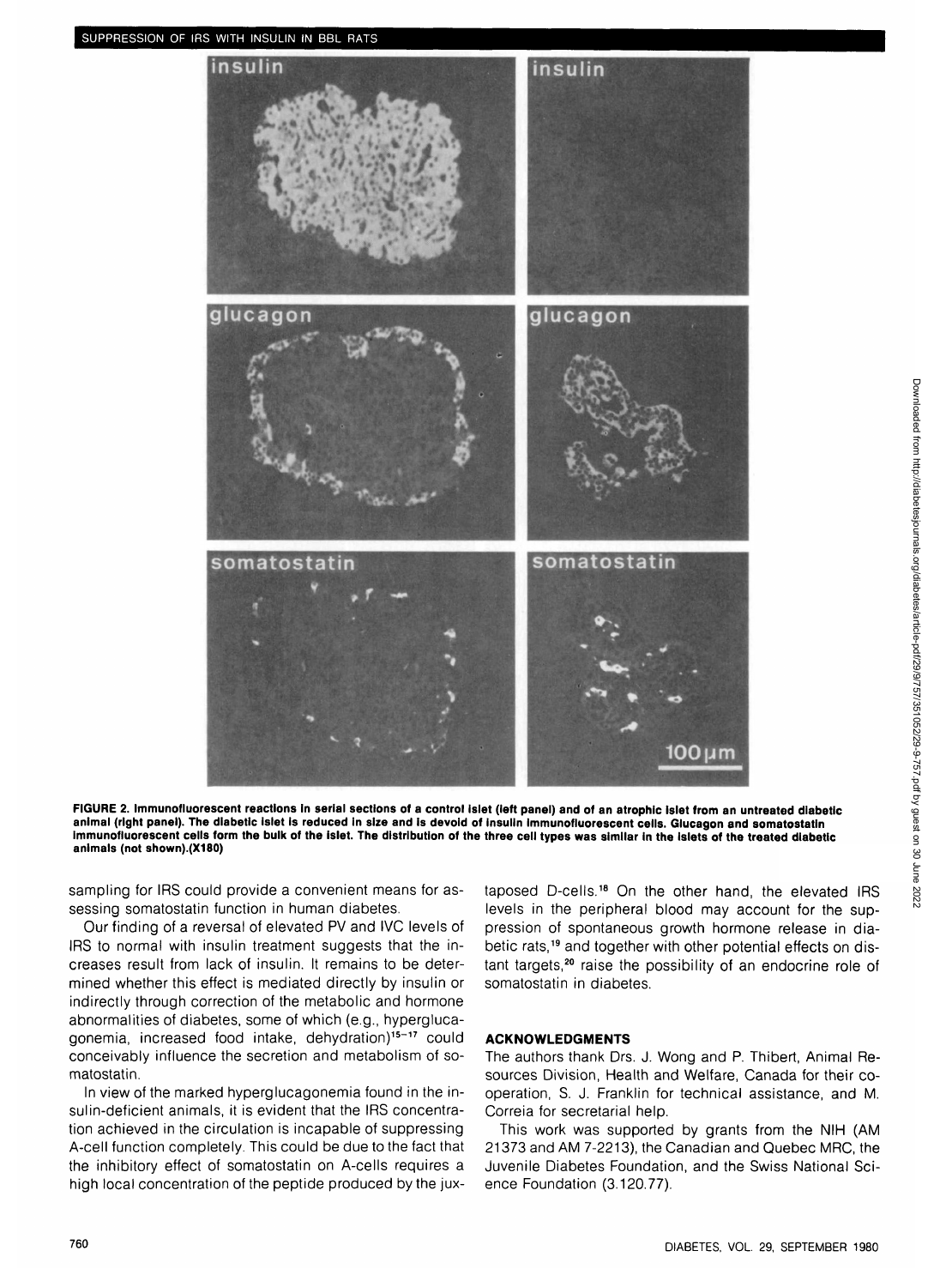

**FIGURE 2. Immunofluorescent reactions in serial sections of a control islet (left panel) and of an atrophic islet from an untreated diabetic animal (right panel). The diabetic islet Is reduced in size and is devoid of insulin immunofluorescent cells. Glucagon and somatostatin immunofluorescent cells form the bulk of the islet. The distribution of the three cell types was similar in the islets of the treated diabetic animals (not shown).(X180)**

sampling for IRS could provide a convenient means for assessing somatostatin function in human diabetes.

Our finding of a reversal of elevated PV and IVC levels of IRS to normal with insulin treatment suggests that the increases result from lack of insulin. It remains to be determined whether this effect is mediated directly by insulin or indirectly through correction of the metabolic and hormone abnormalities of diabetes, some of which (e.g., hyperglucagonemia, increased food intake, dehydration)<sup>15-17</sup> could conceivably influence the secretion and metabolism of somatostatin.

In view of the marked hyperglucagonemia found in the insulin-deficient animals, it is evident that the IRS concentration achieved in the circulation is incapable of suppressing A-cell function completely. This could be due to the fact that the inhibitory effect of somatostatin on A-cells requires a high local concentration of the peptide produced by the jux-

taposed D-cells.<sup>18</sup> On the other hand, the elevated IRS levels in the peripheral blood may account for the suppression of spontaneous growth hormone release in diabetic rats,<sup>19</sup> and together with other potential effects on distant targets,<sup>20</sup> raise the possibility of an endocrine role of somatostatin in diabetes.

#### **ACKNOWLEDGMENTS**

The authors thank Drs. J. Wong and P. Thibert, Animal Resources Division, Health and Welfare, Canada for their cooperation, S. J. Franklin for technical assistance, and M. Correia for secretarial help.

This work was supported by grants from the NIH (AM 21373 and AM 7-2213), the Canadian and Quebec MRC, the Juvenile Diabetes Foundation, and the Swiss National Science Foundation (3.120.77).